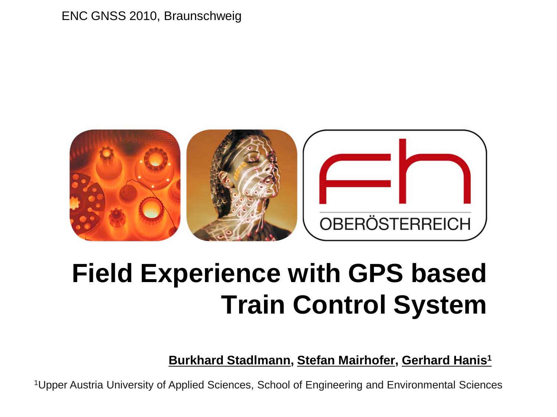#### ENC GNSS 2010, Braunschweig



## **Field Experience with GPS based Train Control System**

**Burkhard Stadlmann, Stefan Mairhofer, Gerhard Hanis1**

1Upper Austria University of Applied Sciences, School of Engineering and Environmental Sciences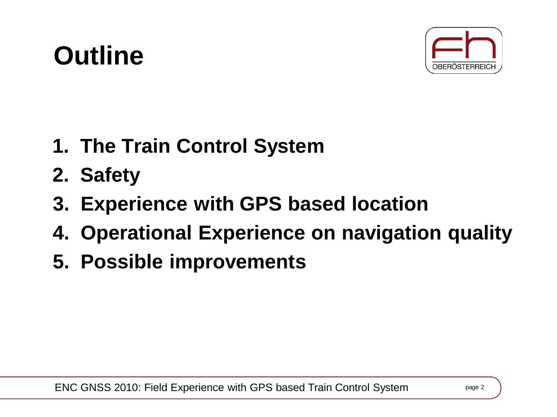## **Outline**



- **1. The Train Control System**
- **2. Safety**
- **3. Experience with GPS based location**
- **4. Operational Experience on navigation quality**
- **5. Possible improvements**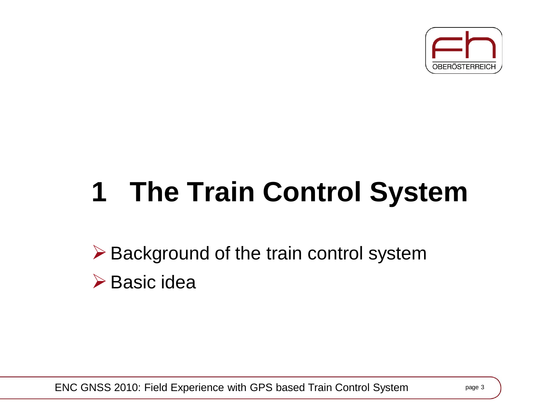

# **1 The Train Control System**

 $\triangleright$  Background of the train control system  $\triangleright$  Basic idea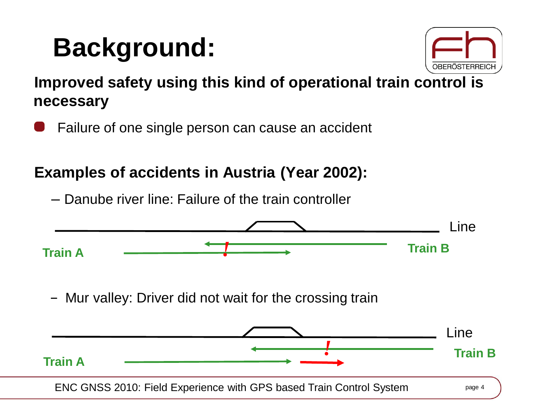## **Background:**



**Improved safety using this kind of operational train control is necessary**

Failure of one single person can cause an accident

#### **Examples of accidents in Austria (Year 2002):**

– Danube river line: Failure of the train controller

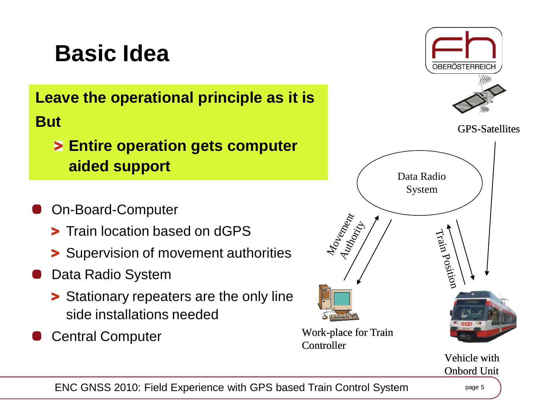### **Basic Idea**

**Leave the operational principle as it is But**

- **Entire operation gets computer aided support**
- On-Board-Computer
	- **> Train location based on dGPS**
	- **> Supervision of movement authorities**
- Data Radio System
	- **>** Stationary repeaters are the only line side installations needed
- Central Computer



Vehicle with Onbord Unit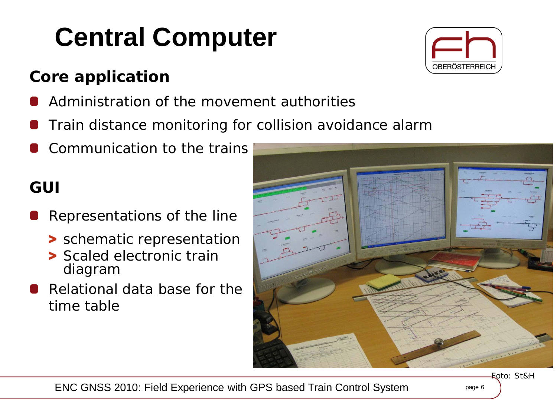# **Central Computer**

### **Core application**

- Administration of the movement authorities
- Train distance monitoring for collision avoidance alarm
- Communication to the trains

#### **GUI**

- Representations of the line
	- > schematic representation
	- > Scaled electronic train diagram
- Relational data base for the time table



Foto: St&H



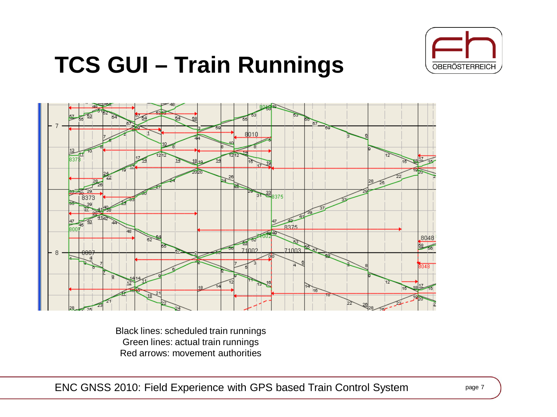

### **TCS GUI – Train Runnings**



Black lines: scheduled train runnings Green lines: actual train runnings Red arrows: movement authorities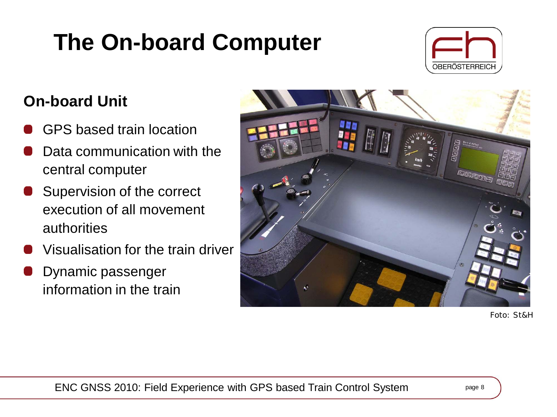### **The On-board Computer**



#### **On-board Unit**

- GPS based train location
- Data communication with the central computer
- Supervision of the correct execution of all movement authorities
- Visualisation for the train driver
- Dynamic passenger information in the train



Foto: St&H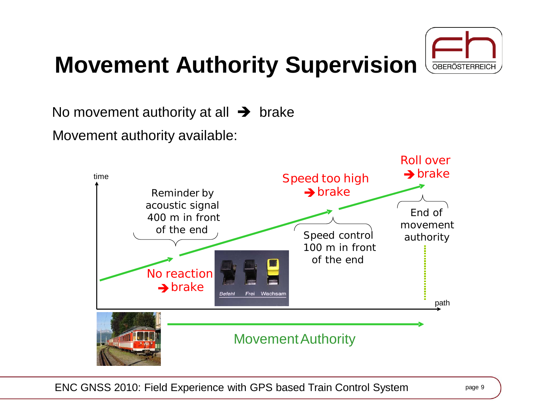### **Movement Authority Supervision**



No movement authority at all  $\rightarrow$  brake

Movement authority available:

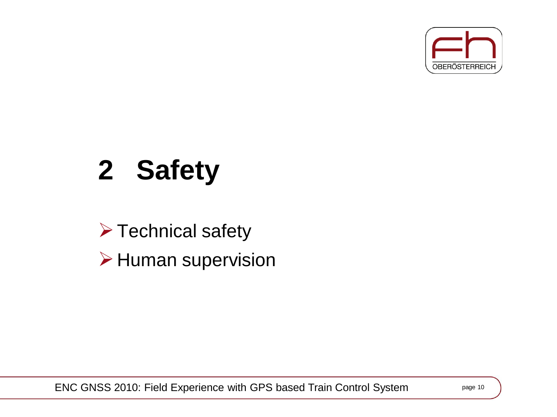

# **2 Safety**

 $\triangleright$  Technical safety  $\triangleright$  Human supervision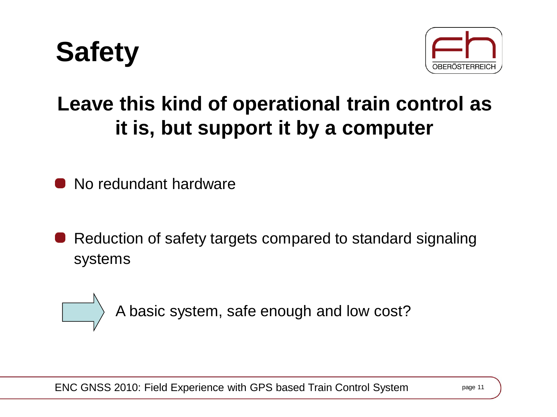



### **Leave this kind of operational train control as it is, but support it by a computer**

No redundant hardware

Reduction of safety targets compared to standard signaling systems



A basic system, safe enough and low cost?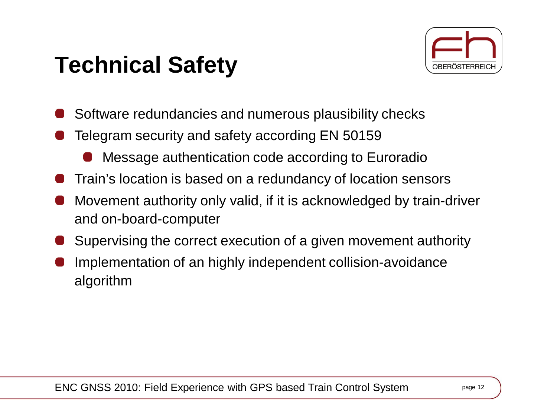### **Technical Safety**



- Software redundancies and numerous plausibility checks
- Telegram security and safety according EN 50159
	- Message authentication code according to Euroradio
- Train's location is based on a redundancy of location sensors
- Movement authority only valid, if it is acknowledged by train-driver and on-board-computer
- Supervising the correct execution of a given movement authority
- Implementation of an highly independent collision-avoidance algorithm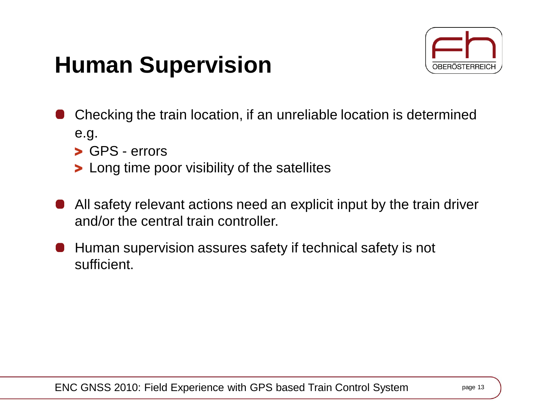### **Human Supervision**



- Checking the train location, if an unreliable location is determined e.g.
	- GPS errors
	- **>** Long time poor visibility of the satellites
- All safety relevant actions need an explicit input by the train driver and/or the central train controller.
- Human supervision assures safety if technical safety is not sufficient.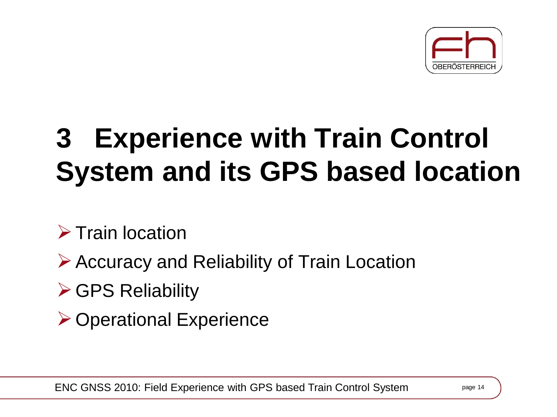

# **3 Experience with Train Control System and its GPS based location**

 $\triangleright$  Train location

Accuracy and Reliability of Train Location

**► GPS Reliability** 

**≻ Operational Experience**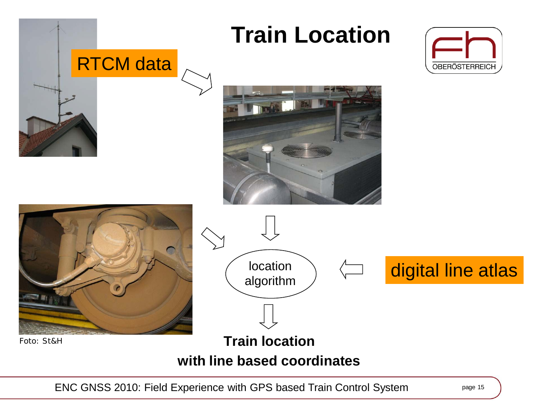

ENC GNSS 2010: Field Experience with GPS based Train Control System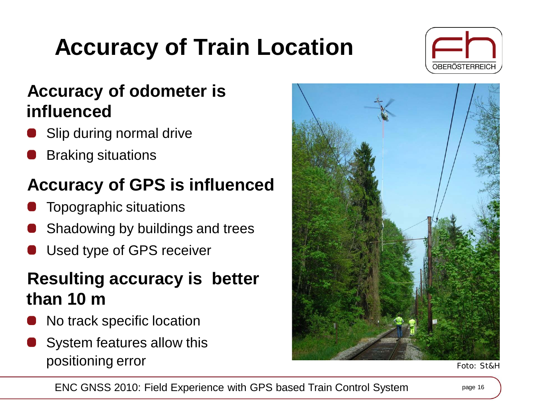## **Accuracy of Train Location**



#### **Accuracy of odometer is influenced**

- Slip during normal drive
- Braking situations

### **Accuracy of GPS is influenced**

- Topographic situations
- Shadowing by buildings and trees
- Used type of GPS receiver

#### **Resulting accuracy is better than 10 m**

- No track specific location
- System features allow this positioning error Foto: St&H

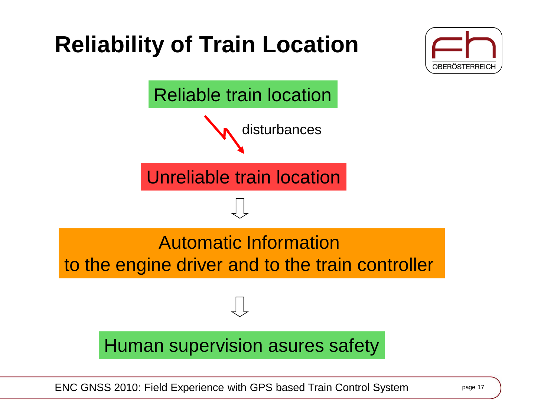## **Reliability of Train Location**





ENC GNSS 2010: Field Experience with GPS based Train Control System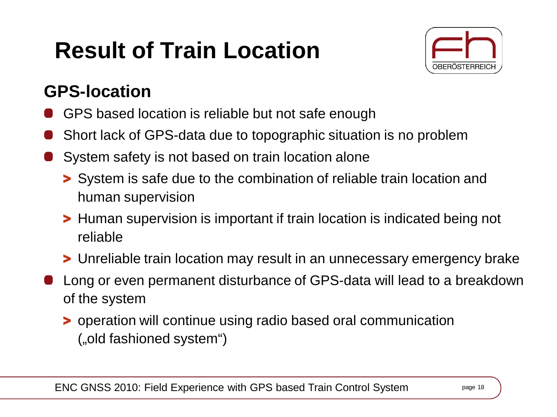## **Result of Train Location**



### **GPS-location**

- GPS based location is reliable but not safe enough
- Short lack of GPS-data due to topographic situation is no problem
- System safety is not based on train location alone
	- System is safe due to the combination of reliable train location and human supervision
	- **>** Human supervision is important if train location is indicated being not reliable
	- Unreliable train location may result in an unnecessary emergency brake
- Long or even permanent disturbance of GPS-data will lead to a breakdown of the system
	- operation will continue using radio based oral communication ("old fashioned system")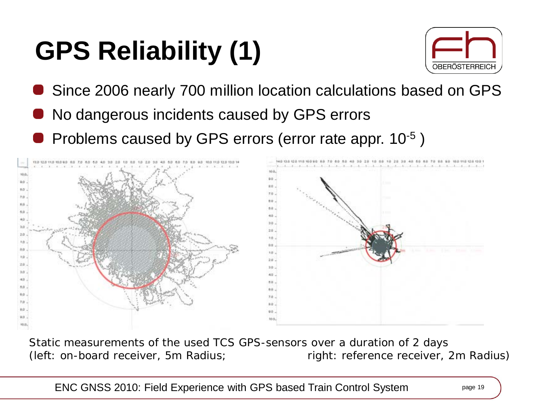# **GPS Reliability (1)**



- Since 2006 nearly 700 million location calculations based on GPS
- No dangerous incidents caused by GPS errors
- Problems caused by GPS errors (error rate appr. 10-5 )



*Static measurements of the used TCS GPS-sensors over a duration of 2 days (left: on-board receiver, 5m Radius; right: reference receiver, 2m Radius)*

ENC GNSS 2010: Field Experience with GPS based Train Control System page 19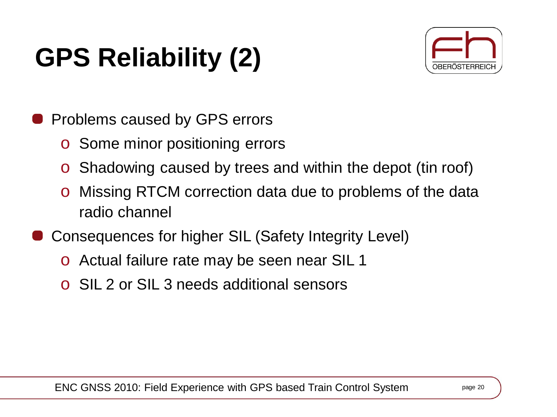# **GPS Reliability (2)**



- Problems caused by GPS errors
	- o Some minor positioning errors
	- o Shadowing caused by trees and within the depot (tin roof)
	- o Missing RTCM correction data due to problems of the data radio channel
- Consequences for higher SIL (Safety Integrity Level)
	- o Actual failure rate may be seen near SIL 1
	- o SIL 2 or SIL 3 needs additional sensors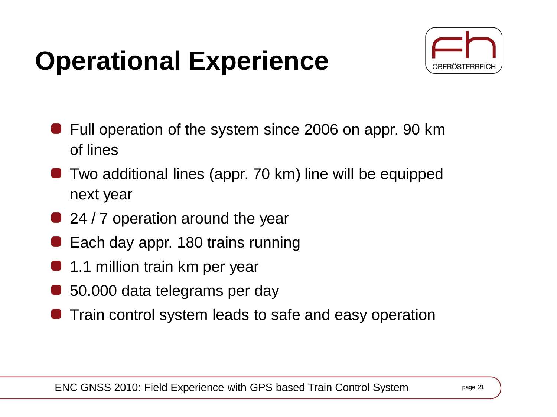## **Operational Experience**



- Full operation of the system since 2006 on appr. 90 km of lines
- Two additional lines (appr. 70 km) line will be equipped next year
- 24 / 7 operation around the year
- Each day appr. 180 trains running
- 1.1 million train km per year
- 50.000 data telegrams per day
- Train control system leads to safe and easy operation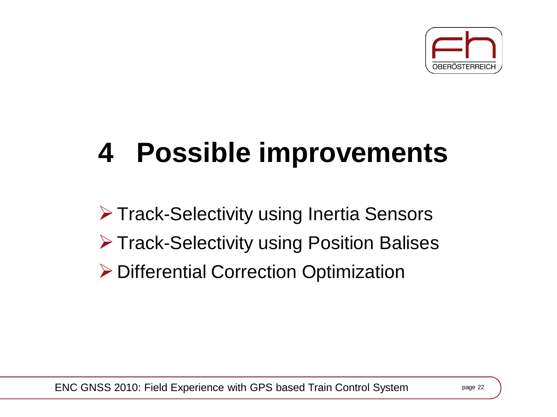

# **4 Possible improvements**

Track-Selectivity using Inertia Sensors **≻ Track-Selectivity using Position Balises ▶ Differential Correction Optimization**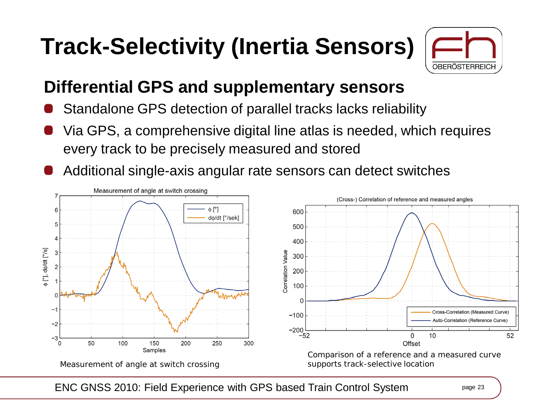## **Track-Selectivity (Inertia Sensors)**



### **Differential GPS and supplementary sensors**

- Standalone GPS detection of parallel tracks lacks reliability
- Via GPS, a comprehensive digital line atlas is needed, which requires every track to be precisely measured and stored
- Additional single-axis angular rate sensors can detect switches



ENC GNSS 2010: Field Experience with GPS based Train Control System page 23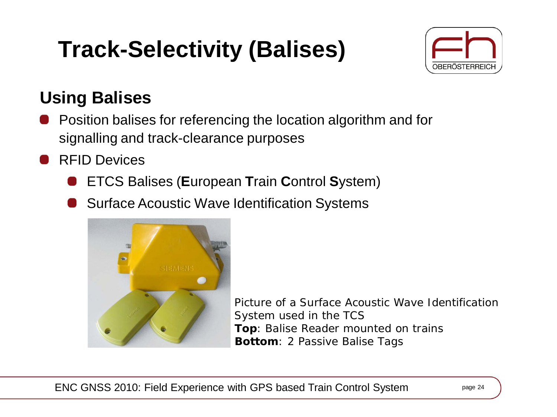## **Track-Selectivity (Balises)**



### **Using Balises**

- Position balises for referencing the location algorithm and for signalling and track-clearance purposes
- RFID Devices
	- ETCS Balises (**E**uropean **T**rain **C**ontrol **S**ystem)
	- **Surface Acoustic Wave Identification Systems**



*Picture of a Surface Acoustic Wave Identification System used in the TCS Top: Balise Reader mounted on trains Bottom: 2 Passive Balise Tags*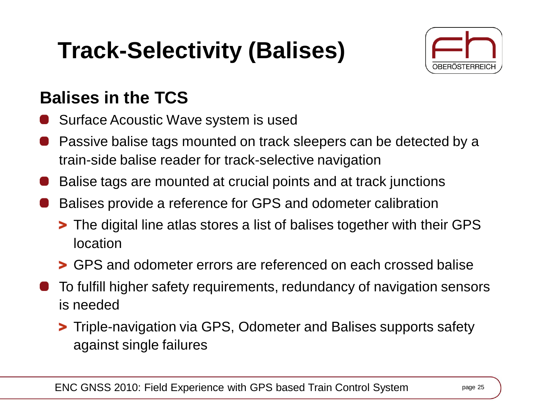## **Track-Selectivity (Balises)**



### **Balises in the TCS**

- Surface Acoustic Wave system is used
- Passive balise tags mounted on track sleepers can be detected by a train-side balise reader for track-selective navigation
- Balise tags are mounted at crucial points and at track junctions
- Balises provide a reference for GPS and odometer calibration
	- The digital line atlas stores a list of balises together with their GPS location
	- GPS and odometer errors are referenced on each crossed balise
- To fulfill higher safety requirements, redundancy of navigation sensors is needed
	- **>** Triple-navigation via GPS, Odometer and Balises supports safety against single failures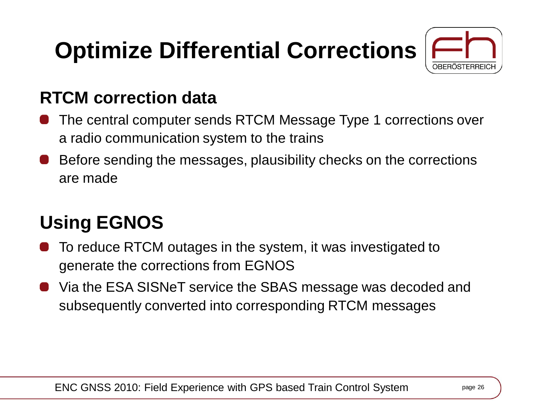## **Optimize Differential Corrections**



#### **RTCM correction data**

- The central computer sends RTCM Message Type 1 corrections over a radio communication system to the trains
- Before sending the messages, plausibility checks on the corrections are made

### **Using EGNOS**

- To reduce RTCM outages in the system, it was investigated to generate the corrections from EGNOS
- Via the ESA SISNeT service the SBAS message was decoded and subsequently converted into corresponding RTCM messages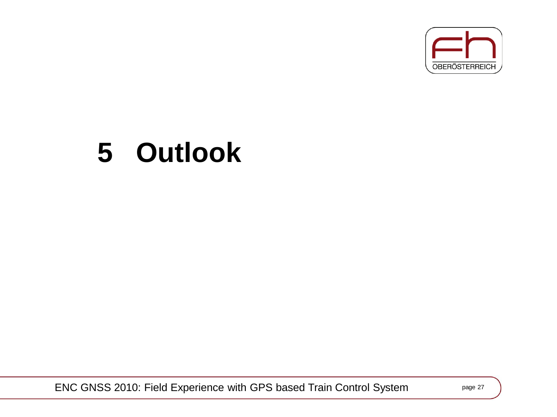

## **5 Outlook**

ENC GNSS 2010: Field Experience with GPS based Train Control System page 27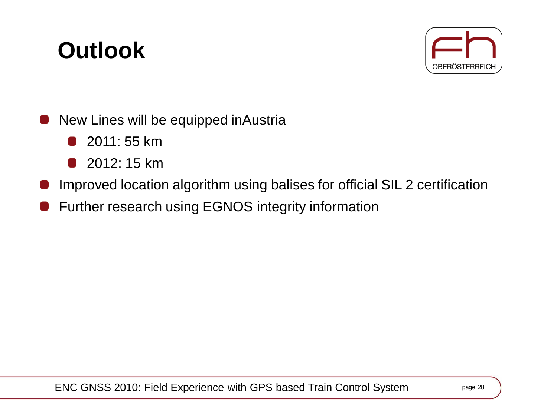### **Outlook**



- New Lines will be equipped inAustria
	- 2011: 55 km **COL**
	- 2012: 15 km - 1
- Improved location algorithm using balises for official SIL 2 certification
- Further research using EGNOS integrity information